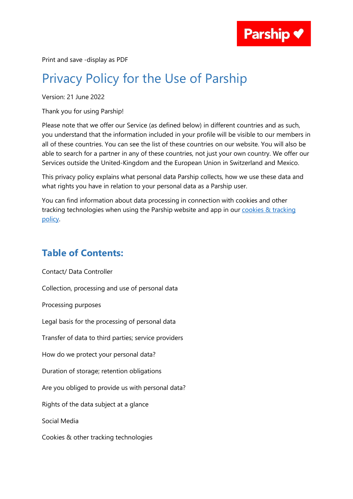

Print and save -display as PDF

## Privacy Policy for the Use of Parship

Version: 21 June 2022

Thank you for using Parship!

Please note that we offer our Service (as defined below) in different countries and as such, you understand that the information included in your profile will be visible to our members in all of these countries. You can see the list of these countries on our website. You will also be able to search for a partner in any of these countries, not just your own country. We offer our Services outside the United-Kingdom and the European Union in Switzerland and Mexico.

This privacy policy explains what personal data Parship collects, how we use these data and what rights you have in relation to your personal data as a Parship user.

You can find information about data processing in connection with cookies and other tracking technologies when using the Parship website and app in our cookies & tracking [policy.](https://uk.parship.com/cookiesandtracking)

## **Table of Contents:**

[Contact/ Data Controller](#page-1-0) [Collection, processing and use of personal data](#page-1-1) [Processing purposes](#page-10-0) [Legal basis for the processing of personal data](#page-12-0) [Transfer of data to third parties; service providers](#page-13-0) [How do we protect your personal data?](#page-14-0) [Duration of storage; retention obligations](#page-15-0) Are you obliged to provide us with personal data? [Rights of the data subject at a glance](#page-16-0) [Social Media](#page-18-0) [Cookies & other tracking technologies](#page-18-1)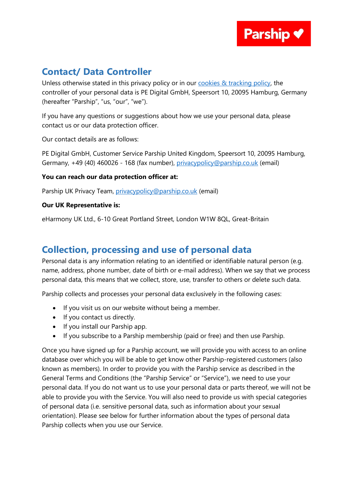

## <span id="page-1-0"></span>**Contact/ Data Controller**

Unless otherwise stated in this privacy policy or in our [cookies & tracking policy,](https://uk.parship.com/cookiesandtracking) the controller of your personal data is PE Digital GmbH, Speersort 10, 20095 Hamburg, Germany (hereafter "Parship", "us, "our", "we").

If you have any questions or suggestions about how we use your personal data, please contact us or our data protection officer.

Our contact details are as follows:

PE Digital GmbH, Customer Service Parship United Kingdom, Speersort 10, 20095 Hamburg, Germany, +49 (40) 460026 - 168 (fax number), [privacypolicy@parship.co.uk](mailto:privacypolicy@parship.co.uk) (email)

#### **You can reach our data protection officer at:**

Parship UK Privacy Team, [privacypolicy@parship.co.uk](mailto:privacypolicy@parship.co.uk) (email)

#### **Our UK Representative is:**

eHarmony UK Ltd., 6-10 Great Portland Street, London W1W 8QL, Great-Britain

## <span id="page-1-1"></span>**Collection, processing and use of personal data**

Personal data is any information relating to an identified or identifiable natural person (e.g. name, address, phone number, date of birth or e-mail address). When we say that we process personal data, this means that we collect, store, use, transfer to others or delete such data.

Parship collects and processes your personal data exclusively in the following cases:

- If you visit us on our website without being a member.
- If you contact us directly.
- If you install our Parship app.
- If you subscribe to a Parship membership (paid or free) and then use Parship.

Once you have signed up for a Parship account, we will provide you with access to an online database over which you will be able to get know other Parship-registered customers (also known as members). In order to provide you with the Parship service as described in the General Terms and Conditions (the "Parship Service" or "Service"), we need to use your personal data. If you do not want us to use your personal data or parts thereof, we will not be able to provide you with the Service. You will also need to provide us with special categories of personal data (i.e. sensitive personal data, such as information about your sexual orientation). Please see below for further information about the types of personal data Parship collects when you use our Service.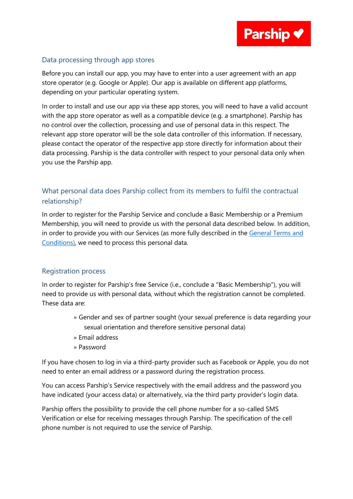

#### Data processing through app stores

Before you can install our app, you may have to enter into a user agreement with an app store operator (e.g. Google or Apple). Our app is available on different app platforms, depending on your particular operating system.

In order to install and use our app via these app stores, you will need to have a valid account with the app store operator as well as a compatible device (e.g. a smartphone). Parship has no control over the collection, processing and use of personal data in this respect. The relevant app store operator will be the sole data controller of this information. If necessary, please contact the operator of the respective app store directly for information about their data processing. Parship is the data controller with respect to your personal data only when you use the Parship app.

#### What personal data does Parship collect from its members to fulfil the contractual relationship?

In order to register for the Parship Service and conclude a Basic Membership or a Premium Membership, you will need to provide us with the personal data described below. In addition, in order to provide you with our Services (as more fully described in the General Terms and [Conditions\),](https://uk.parship.com/termsandconditions/) we need to process this personal data.

#### Registration process

In order to register for Parship's free Service (i.e., conclude a "Basic Membership"), you will need to provide us with personal data, without which the registration cannot be completed. These data are:

- » Gender and sex of partner sought (your sexual preference is data regarding your sexual orientation and therefore sensitive personal data)
- » Email address
- » Password

If you have chosen to log in via a third-party provider such as Facebook or Apple, you do not need to enter an email address or a password during the registration process.

You can access Parship's Service respectively with the email address and the password you have indicated (your access data) or alternatively, via the third party provider's login data.

Parship offers the possibility to provide the cell phone number for a so-called SMS Verification or else for receiving messages through Parship. The specification of the cell phone number is not required to use the service of Parship.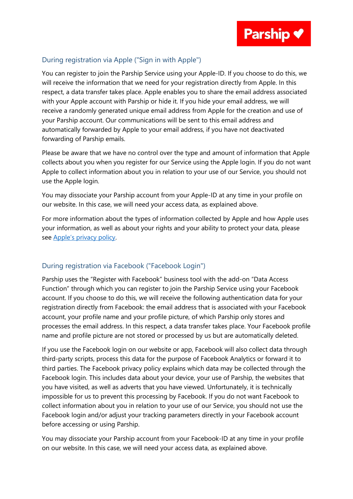#### During registration via Apple ("Sign in with Apple")

You can register to join the Parship Service using your Apple-ID. If you choose to do this, we will receive the information that we need for your registration directly from Apple. In this respect, a data transfer takes place. Apple enables you to share the email address associated with your Apple account with Parship or hide it. If you hide your email address, we will receive a randomly generated unique email address from Apple for the creation and use of your Parship account. Our communications will be sent to this email address and automatically forwarded by Apple to your email address, if you have not deactivated forwarding of Parship emails.

Please be aware that we have no control over the type and amount of information that Apple collects about you when you register for our Service using the Apple login. If you do not want Apple to collect information about you in relation to your use of our Service, you should not use the Apple login.

You may dissociate your Parship account from your Apple-ID at any time in your profile on our website. In this case, we will need your access data, as explained above.

For more information about the types of information collected by Apple and how Apple uses your information, as well as about your rights and your ability to protect your data, please see Apple's [privacy policy.](https://www.apple.com/legal/privacy/en-ww/)

#### During registration via Facebook ("Facebook Login")

Parship uses the "Register with Facebook" business tool with the add-on "Data Access Function" through which you can register to join the Parship Service using your Facebook account. If you choose to do this, we will receive the following authentication data for your registration directly from Facebook: the email address that is associated with your Facebook account, your profile name and your profile picture, of which Parship only stores and processes the email address. In this respect, a data transfer takes place. Your Facebook profile name and profile picture are not stored or processed by us but are automatically deleted.

If you use the Facebook login on our website or app, Facebook will also collect data through third-party scripts, process this data for the purpose of Facebook Analytics or forward it to third parties. The Facebook privacy policy explains which data may be collected through the Facebook login. This includes data about your device, your use of Parship, the websites that you have visited, as well as adverts that you have viewed. Unfortunately, it is technically impossible for us to prevent this processing by Facebook. If you do not want Facebook to collect information about you in relation to your use of our Service, you should not use the Facebook login and/or adjust your tracking parameters directly in your Facebook account before accessing or using Parship.

You may dissociate your Parship account from your Facebook-ID at any time in your profile on our website. In this case, we will need your access data, as explained above.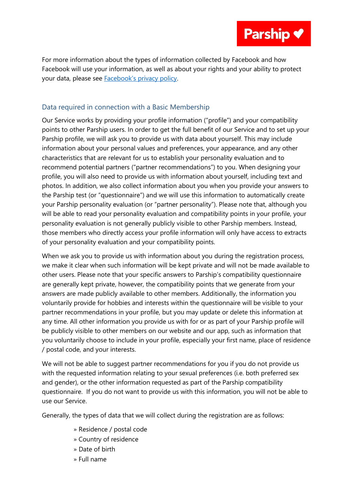For more information about the types of information collected by Facebook and how Facebook will use your information, as well as about your rights and your ability to protect your data, please see [Facebook's privacy policy](file://///FS/Legal/03_Legal/01_Webseiten_APP/00_zu%20ändern/DSB/08_DSB_merged_Web_App%20inkl.%20Cookies%20Hinweise_Web%20nach%20CMP_App%20vor%20CMP/eharmony%20uk_in%20Bearbeitung/Facebook’s%20privacy%20policy).

#### Data required in connection with a Basic Membership

Our Service works by providing your profile information ("profile") and your compatibility points to other Parship users. In order to get the full benefit of our Service and to set up your Parship profile, we will ask you to provide us with data about yourself. This may include information about your personal values and preferences, your appearance, and any other characteristics that are relevant for us to establish your personality evaluation and to recommend potential partners ("partner recommendations") to you. When designing your profile, you will also need to provide us with information about yourself, including text and photos. In addition, we also collect information about you when you provide your answers to the Parship test (or "questionnaire") and we will use this information to automatically create your Parship personality evaluation (or "partner personality"). Please note that, although you will be able to read your personality evaluation and compatibility points in your profile, your personality evaluation is not generally publicly visible to other Parship members. Instead, those members who directly access your profile information will only have access to extracts of your personality evaluation and your compatibility points.

When we ask you to provide us with information about you during the registration process, we make it clear when such information will be kept private and will not be made available to other users. Please note that your specific answers to Parship's compatibility questionnaire are generally kept private, however, the compatibility points that we generate from your answers are made publicly available to other members. Additionally, the information you voluntarily provide for hobbies and interests within the questionnaire will be visible to your partner recommendations in your profile, but you may update or delete this information at any time. All other information you provide us with for or as part of your Parship profile will be publicly visible to other members on our website and our app, such as information that you voluntarily choose to include in your profile, especially your first name, place of residence / postal code, and your interests.

We will not be able to suggest partner recommendations for you if you do not provide us with the requested information relating to your sexual preferences (i.e. both preferred sex and gender), or the other information requested as part of the Parship compatibility questionnaire. If you do not want to provide us with this information, you will not be able to use our Service.

Generally, the types of data that we will collect during the registration are as follows:

- » Residence / postal code
- » Country of residence
- » Date of birth
- » Full name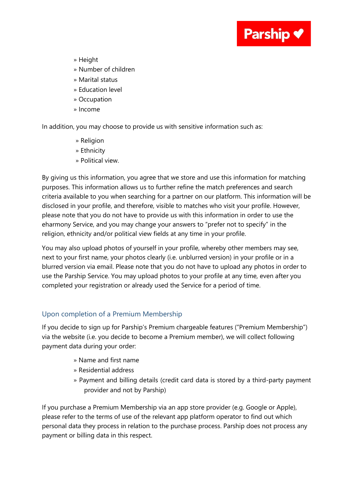

- » Height
- » Number of children
- » Marital status
- » Education level
- » Occupation
- » Income

In addition, you may choose to provide us with sensitive information such as:

- » Religion
- » Ethnicity
- » Political view.

By giving us this information, you agree that we store and use this information for matching purposes. This information allows us to further refine the match preferences and search criteria available to you when searching for a partner on our platform. This information will be disclosed in your profile, and therefore, visible to matches who visit your profile. However, please note that you do not have to provide us with this information in order to use the eharmony Service, and you may change your answers to "prefer not to specify" in the religion, ethnicity and/or political view fields at any time in your profile.

You may also upload photos of yourself in your profile, whereby other members may see, next to your first name, your photos clearly (i.e. unblurred version) in your profile or in a blurred version via email. Please note that you do not have to upload any photos in order to use the Parship Service. You may upload photos to your profile at any time, even after you completed your registration or already used the Service for a period of time.

#### Upon completion of a Premium Membership

If you decide to sign up for Parship's Premium chargeable features ("Premium Membership") via the website (i.e. you decide to become a Premium member), we will collect following payment data during your order:

- » Name and first name
- » Residential address
- » Payment and billing details (credit card data is stored by a third-party payment provider and not by Parship)

If you purchase a Premium Membership via an app store provider (e.g. Google or Apple), please refer to the terms of use of the relevant app platform operator to find out which personal data they process in relation to the purchase process. Parship does not process any payment or billing data in this respect.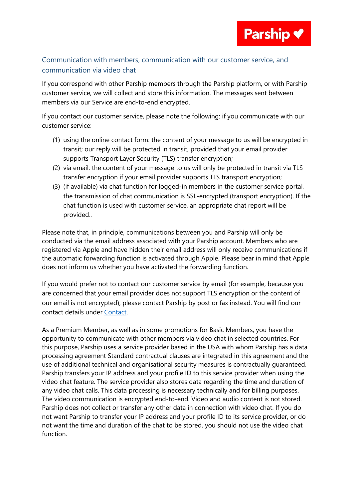

#### Communication with members, communication with our customer service, and communication via video chat

If you correspond with other Parship members through the Parship platform, or with Parship customer service, we will collect and store this information. The messages sent between members via our Service are end-to-end encrypted.

If you contact our customer service, please note the following: if you communicate with our customer service:

- (1) using the online contact form: the content of your message to us will be encrypted in transit; our reply will be protected in transit, provided that your email provider supports Transport Layer Security (TLS) transfer encryption;
- (2) via email: the content of your message to us will only be protected in transit via TLS transfer encryption if your email provider supports TLS transport encryption;
- (3) (if available) via chat function for logged-in members in the customer service portal, the transmission of chat communication is SSL-encrypted (transport encryption). If the chat function is used with customer service, an appropriate chat report will be provided..

Please note that, in principle, communications between you and Parship will only be conducted via the email address associated with your Parship account. Members who are registered via Apple and have hidden their email address will only receive communications if the automatic forwarding function is activated through Apple. Please bear in mind that Apple does not inform us whether you have activated the forwarding function.

If you would prefer not to contact our customer service by email (for example, because you are concerned that your email provider does not support TLS encryption or the content of our email is not encrypted), please contact Parship by post or fax instead. You will find our contact details under [Contact.](#page-1-0)

As a Premium Member, as well as in some promotions for Basic Members, you have the opportunity to communicate with other members via video chat in selected countries. For this purpose, Parship uses a service provider based in the USA with whom Parship has a data processing agreement Standard contractual clauses are integrated in this agreement and the use of additional technical and organisational security measures is contractually guaranteed. Parship transfers your IP address and your profile ID to this service provider when using the video chat feature. The service provider also stores data regarding the time and duration of any video chat calls. This data processing is necessary technically and for billing purposes. The video communication is encrypted end-to-end. Video and audio content is not stored. Parship does not collect or transfer any other data in connection with video chat. If you do not want Parship to transfer your IP address and your profile ID to its service provider, or do not want the time and duration of the chat to be stored, you should not use the video chat function.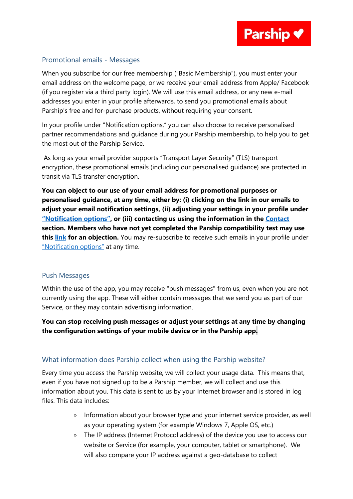

#### Promotional emails - Messages

When you subscribe for our free membership ("Basic Membership"), you must enter your email address on the welcome page, or we receive your email address from Apple/ Facebook (if you register via a third party login). We will use this email address, or any new e-mail addresses you enter in your profile afterwards, to send you promotional emails about Parship's free and for-purchase products, without requiring your consent.

In your profile under "Notification options," you can also choose to receive personalised partner recommendations and guidance during your Parship membership, to help you to get the most out of the Parship Service.

As long as your email provider supports "Transport Layer Security" (TLS) transport encryption, these promotional emails (including our personalised guidance) are protected in transit via TLS transfer encryption.

**You can object to our use of your email address for promotional purposes or personalised guidance, at any time, either by: (i) clicking on the link in our emails to adjust your email notification settings, (ii) adjusting your settings in your profile under ["Notification options"](https://uk.parship.com/settings/notificationoptions), or (iii) contacting us using the information in the [Contact](#page-1-0) section. Members who have not yet completed the Parship compatibility test may use this [link](https://uk.parship.com/settings/notificationoptions) for an objection.** You may re-subscribe to receive such emails in your profile under ["Notification options"](https://uk.parship.com/settings/notificationoptions) at any time.

#### Push Messages

Within the use of the app, you may receive "push messages" from us, even when you are not currently using the app. These will either contain messages that we send you as part of our Service, or they may contain advertising information.

#### **You can stop receiving push messages or adjust your settings at any time by changing the configuration settings of your mobile device or in the Parship app.**

#### What information does Parship collect when using the Parship website?

Every time you access the Parship website, we will collect your usage data. This means that, even if you have not signed up to be a Parship member, we will collect and use this information about you. This data is sent to us by your Internet browser and is stored in log files. This data includes:

- » Information about your browser type and your internet service provider, as well as your operating system (for example Windows 7, Apple OS, etc.)
- » The IP address (Internet Protocol address) of the device you use to access our website or Service (for example, your computer, tablet or smartphone). We will also compare your IP address against a geo-database to collect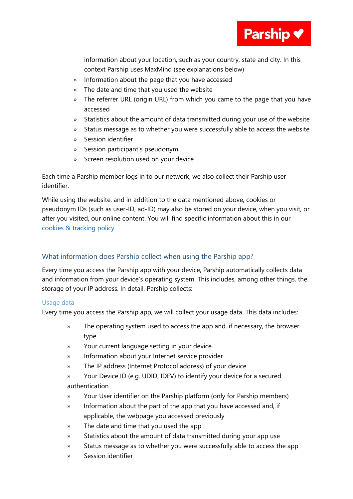

information about your location, such as your country, state and city. In this context Parship uses MaxMind (see explanations below)

- » Information about the page that you have accessed
- » The date and time that you used the website
- » The referrer URL (origin URL) from which you came to the page that you have accessed
- » Statistics about the amount of data transmitted during your use of the website
- » Status message as to whether you were successfully able to access the website
- » Session identifier
- » Session participant's pseudonym
- » Screen resolution used on your device

Each time a Parship member logs in to our network, we also collect their Parship user identifier.

While using the website, and in addition to the data mentioned above, cookies or pseudonym IDs (such as user-ID, ad-ID) may also be stored on your device, when you visit, or after you visited, our online content. You will find specific information about this in our [cookies & tracking policy.](https://uk.parship.com/cookiesandtracking)

#### What information does Parship collect when using the Parship app?

Every time you access the Parship app with your device, Parship automatically collects data and information from your device's operating system. This includes, among other things, the storage of your IP address. In detail, Parship collects:

#### Usage data

Every time you access the Parship app, we will collect your usage data. This data includes:

- » The operating system used to access the app and, if necessary, the browser type
- » Your current language setting in your device
- » Information about your Internet service provider
- » The IP address (Internet Protocol address) of your device
- » Your Device ID (e.g. UDID, IDFV) to identify your device for a secured authentication
- » Your User identifier on the Parship platform (only for Parship members)
- » Information about the part of the app that you have accessed and, if applicable, the webpage you accessed previously
- » The date and time that you used the app
- » Statistics about the amount of data transmitted during your app use
- » Status message as to whether you were successfully able to access the app
- » Session identifier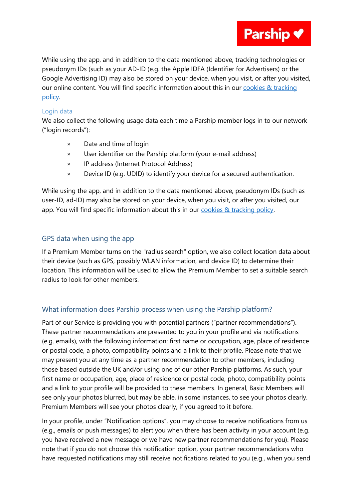

While using the app, and in addition to the data mentioned above, tracking technologies or pseudonym IDs (such as your AD-ID (e.g. the Apple IDFA (Identifier for Advertisers) or the Google Advertising ID) may also be stored on your device, when you visit, or after you visited, our online content. You will find specific information about this in our [cookies & tracking](https://uk.parship.com/cookiesandtracking)  [policy.](https://uk.parship.com/cookiesandtracking)

#### Login data

We also collect the following usage data each time a Parship member logs in to our network ("login records"):

- » Date and time of login
- » User identifier on the Parship platform (your e-mail address)
- » IP address (Internet Protocol Address)
- » Device ID (e.g. UDID) to identify your device for a secured authentication.

While using the app, and in addition to the data mentioned above, pseudonym IDs (such as user-ID, ad-ID) may also be stored on your device, when you visit, or after you visited, our app. You will find specific information about this in our [cookies & tracking policy.](https://uk.parship.com/cookiesandtracking)

#### GPS data when using the app

If a Premium Member turns on the "radius search" option, we also collect location data about their device (such as GPS, possibly WLAN information, and device ID) to determine their location. This information will be used to allow the Premium Member to set a suitable search radius to look for other members.

#### What information does Parship process when using the Parship platform?

Part of our Service is providing you with potential partners ("partner recommendations"). These partner recommendations are presented to you in your profile and via notifications (e.g. emails), with the following information: first name or occupation, age, place of residence or postal code, a photo, compatibility points and a link to their profile. Please note that we may present you at any time as a partner recommendation to other members, including those based outside the UK and/or using one of our other Parship platforms. As such, your first name or occupation, age, place of residence or postal code, photo, compatibility points and a link to your profile will be provided to these members. In general, Basic Members will see only your photos blurred, but may be able, in some instances, to see your photos clearly. Premium Members will see your photos clearly, if you agreed to it before.

In your profile, under "Notification options", you may choose to receive notifications from us (e.g., emails or push messages) to alert you when there has been activity in your account (e.g. you have received a new message or we have new partner recommendations for you). Please note that if you do not choose this notification option, your partner recommendations who have requested notifications may still receive notifications related to you (e.g., when you send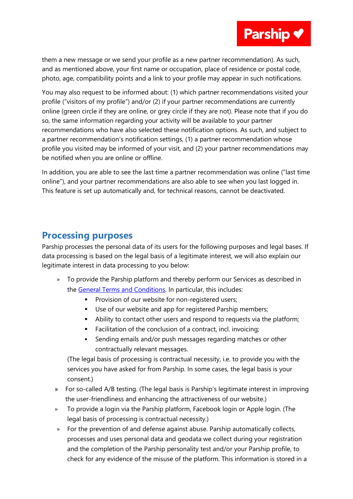them a new message or we send your profile as a new partner recommendation). As such, and as mentioned above, your first name or occupation, place of residence or postal code, photo, age, compatibility points and a link to your profile may appear in such notifications.

You may also request to be informed about: (1) which partner recommendations visited your profile ("visitors of my profile") and/or (2) if your partner recommendations are currently online (green circle if they are online, or grey circle if they are not). Please note that if you do so, the same information regarding your activity will be available to your partner recommendations who have also selected these notification options. As such, and subject to a partner recommendation's notification settings, (1) a partner recommendation whose profile you visited may be informed of your visit, and (2) your partner recommendations may be notified when you are online or offline.

In addition, you are able to see the last time a partner recommendation was online ("last time online"), and your partner recommendations are also able to see when you last logged in. This feature is set up automatically and, for technical reasons, cannot be deactivated.

## <span id="page-10-0"></span>**Processing purposes**

Parship processes the personal data of its users for the following purposes and legal bases. If data processing is based on the legal basis of a legitimate interest, we will also explain our legitimate interest in data processing to you below:

- » To provide the Parship platform and thereby perform our Services as described in the [General Terms and Conditions.](https://uk.parship.com/termsandconditions/) In particular, this includes:
	- **•** Provision of our website for non-registered users;
	- Use of our website and app for registered Parship members;
	- Ability to contact other users and respond to requests via the platform;
	- Facilitation of the conclusion of a contract, incl. invoicing;
	- **EXE** Sending emails and/or push messages regarding matches or other contractually relevant messages.

(The legal basis of processing is contractual necessity, i.e. to provide you with the services you have asked for from Parship. In some cases, the legal basis is your consent.)

- » For so-called A/B testing. (The legal basis is Parship's legitimate interest in improving the user-friendliness and enhancing the attractiveness of our website.)
- » To provide a login via the Parship platform, Facebook login or Apple login. (The legal basis of processing is contractual necessity.)
- » For the prevention of and defense against abuse. Parship automatically collects, processes and uses personal data and geodata we collect during your registration and the completion of the Parship personality test and/or your Parship profile, to check for any evidence of the misuse of the platform. This information is stored in a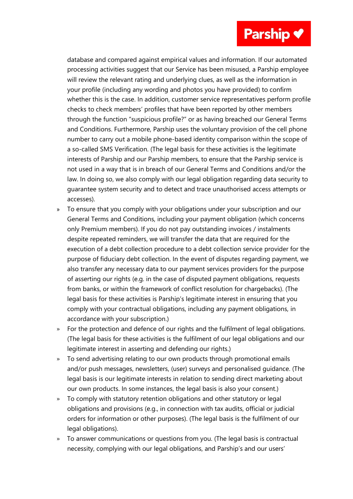# Parship v

database and compared against empirical values and information. If our automated processing activities suggest that our Service has been misused, a Parship employee will review the relevant rating and underlying clues, as well as the information in your profile (including any wording and photos you have provided) to confirm whether this is the case. In addition, customer service representatives perform profile checks to check members' profiles that have been reported by other members through the function "suspicious profile?" or as having breached our General Terms and Conditions. Furthermore, Parship uses the voluntary provision of the cell phone number to carry out a mobile phone-based identity comparison within the scope of a so-called SMS Verification. (The legal basis for these activities is the legitimate interests of Parship and our Parship members, to ensure that the Parship service is not used in a way that is in breach of our General Terms and Conditions and/or the law. In doing so, we also comply with our legal obligation regarding data security to guarantee system security and to detect and trace unauthorised access attempts or accesses).

- » To ensure that you comply with your obligations under your subscription and our General Terms and Conditions, including your payment obligation (which concerns only Premium members). If you do not pay outstanding invoices / instalments despite repeated reminders, we will transfer the data that are required for the execution of a debt collection procedure to a debt collection service provider for the purpose of fiduciary debt collection. In the event of disputes regarding payment, we also transfer any necessary data to our payment services providers for the purpose of asserting our rights (e.g. in the case of disputed payment obligations, requests from banks, or within the framework of conflict resolution for chargebacks). (The legal basis for these activities is Parship's legitimate interest in ensuring that you comply with your contractual obligations, including any payment obligations, in accordance with your subscription.)
- » For the protection and defence of our rights and the fulfilment of legal obligations. (The legal basis for these activities is the fulfilment of our legal obligations and our legitimate interest in asserting and defending our rights.)
- » To send advertising relating to our own products through promotional emails and/or push messages, newsletters, (user) surveys and personalised guidance. (The legal basis is our legitimate interests in relation to sending direct marketing about our own products. In some instances, the legal basis is also your consent.)
- » To comply with statutory retention obligations and other statutory or legal obligations and provisions (e.g., in connection with tax audits, official or judicial orders for information or other purposes). (The legal basis is the fulfilment of our legal obligations).
- » To answer communications or questions from you. (The legal basis is contractual necessity, complying with our legal obligations, and Parship's and our users'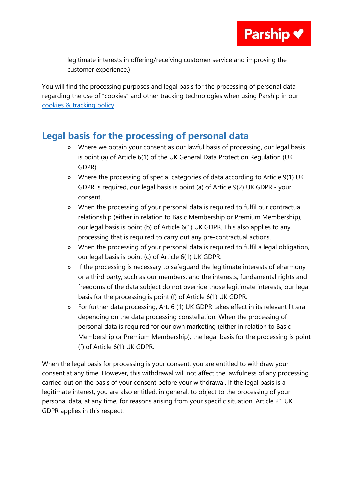

legitimate interests in offering/receiving customer service and improving the customer experience.)

You will find the processing purposes and legal basis for the processing of personal data regarding the use of "cookies" and other tracking technologies when using Parship in our [cookies & tracking policy.](https://uk.parship.com/cookiesandtracking)

## <span id="page-12-0"></span>**Legal basis for the processing of personal data**

- » Where we obtain your consent as our lawful basis of processing, our legal basis is point (a) of Article 6(1) of the UK General Data Protection Regulation (UK GDPR).
- » Where the processing of special categories of data according to Article 9(1) UK GDPR is required, our legal basis is point (a) of Article 9(2) UK GDPR - your consent.
- » When the processing of your personal data is required to fulfil our contractual relationship (either in relation to Basic Membership or Premium Membership), our legal basis is point (b) of Article 6(1) UK GDPR. This also applies to any processing that is required to carry out any pre-contractual actions.
- » When the processing of your personal data is required to fulfil a legal obligation, our legal basis is point (c) of Article 6(1) UK GDPR.
- » If the processing is necessary to safeguard the legitimate interests of eharmony or a third party, such as our members, and the interests, fundamental rights and freedoms of the data subject do not override those legitimate interests, our legal basis for the processing is point (f) of Article 6(1) UK GDPR.
- » For further data processing, Art. 6 (1) UK GDPR takes effect in its relevant littera depending on the data processing constellation. When the processing of personal data is required for our own marketing (either in relation to Basic Membership or Premium Membership), the legal basis for the processing is point (f) of Article 6(1) UK GDPR.

When the legal basis for processing is your consent, you are entitled to withdraw your consent at any time. However, this withdrawal will not affect the lawfulness of any processing carried out on the basis of your consent before your withdrawal. If the legal basis is a legitimate interest, you are also entitled, in general, to object to the processing of your personal data, at any time, for reasons arising from your specific situation. Article 21 UK GDPR applies in this respect.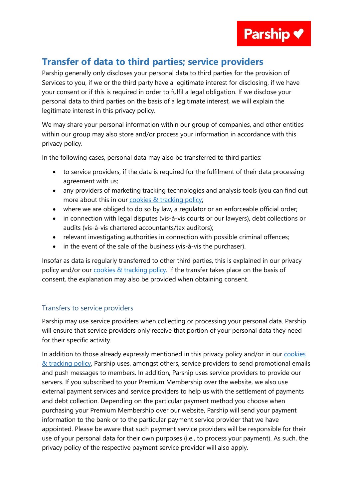

## <span id="page-13-0"></span>**Transfer of data to third parties; service providers**

Parship generally only discloses your personal data to third parties for the provision of Services to you, if we or the third party have a legitimate interest for disclosing, if we have your consent or if this is required in order to fulfil a legal obligation. If we disclose your personal data to third parties on the basis of a legitimate interest, we will explain the legitimate interest in this privacy policy.

We may share your personal information within our group of companies, and other entities within our group may also store and/or process your information in accordance with this privacy policy.

In the following cases, personal data may also be transferred to third parties:

- to service providers, if the data is required for the fulfilment of their data processing agreement with us;
- any providers of marketing tracking technologies and analysis tools (you can find out more about this in our [cookies & tracking policy;](https://uk.parship.com/cookiesandtracking)
- where we are obliged to do so by law, a regulator or an enforceable official order;
- in connection with legal disputes (vis-à-vis courts or our lawyers), debt collections or audits (vis-à-vis chartered accountants/tax auditors);
- relevant investigating authorities in connection with possible criminal offences;
- in the event of the sale of the business (vis-à-vis the purchaser).

Insofar as data is regularly transferred to other third parties, this is explained in our privacy policy and/or our [cookies & tracking policy.](https://uk.parship.com/cookiesandtracking) If the transfer takes place on the basis of consent, the explanation may also be provided when obtaining consent.

#### Transfers to service providers

Parship may use service providers when collecting or processing your personal data. Parship will ensure that service providers only receive that portion of your personal data they need for their specific activity.

In addition to those already expressly mentioned in this privacy policy and/or in our [cookies](https://uk.parship.com/cookiesandtracking)  [& tracking policy,](https://uk.parship.com/cookiesandtracking) Parship uses, amongst others, service providers to send promotional emails and push messages to members. In addition, Parship uses service providers to provide our servers. If you subscribed to your Premium Membership over the website, we also use external payment services and service providers to help us with the settlement of payments and debt collection. Depending on the particular payment method you choose when purchasing your Premium Membership over our website, Parship will send your payment information to the bank or to the particular payment service provider that we have appointed. Please be aware that such payment service providers will be responsible for their use of your personal data for their own purposes (i.e., to process your payment). As such, the privacy policy of the respective payment service provider will also apply.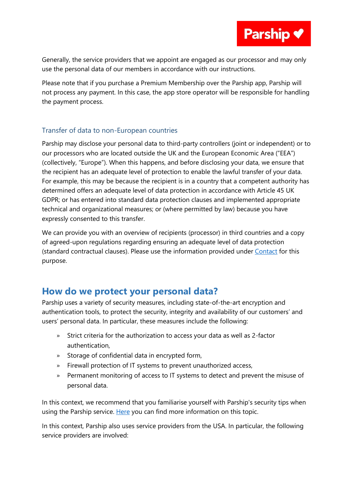Generally, the service providers that we appoint are engaged as our processor and may only use the personal data of our members in accordance with our instructions.

Please note that if you purchase a Premium Membership over the Parship app, Parship will not process any payment. In this case, the app store operator will be responsible for handling the payment process.

#### Transfer of data to non-European countries

Parship may disclose your personal data to third-party controllers (joint or independent) or to our processors who are located outside the UK and the European Economic Area ("EEA") (collectively, "Europe"). When this happens, and before disclosing your data, we ensure that the recipient has an adequate level of protection to enable the lawful transfer of your data. For example, this may be because the recipient is in a country that a competent authority has determined offers an adequate level of data protection in accordance with Article 45 UK GDPR; or has entered into standard data protection clauses and implemented appropriate technical and organizational measures; or (where permitted by law) because you have expressly consented to this transfer.

We can provide you with an overview of recipients (processor) in third countries and a copy of agreed-upon regulations regarding ensuring an adequate level of data protection (standard contractual clauses). Please use the information provided under [Contact](#page-1-0) for this purpose.

## <span id="page-14-0"></span>**How do we protect your personal data?**

Parship uses a variety of security measures, including state-of-the-art encryption and authentication tools, to protect the security, integrity and availability of our customers' and users' personal data. In particular, these measures include the following:

- » Strict criteria for the authorization to access your data as well as 2-factor authentication,
- » Storage of confidential data in encrypted form,
- » Firewall protection of IT systems to prevent unauthorized access,
- » Permanent monitoring of access to IT systems to detect and prevent the misuse of personal data.

In this context, we recommend that you familiarise yourself with Parship's security tips when using the Parship service. [Here](https://uk.parship.com/safety/) you can find more information on this topic.

In this context, Parship also uses service providers from the USA. In particular, the following service providers are involved: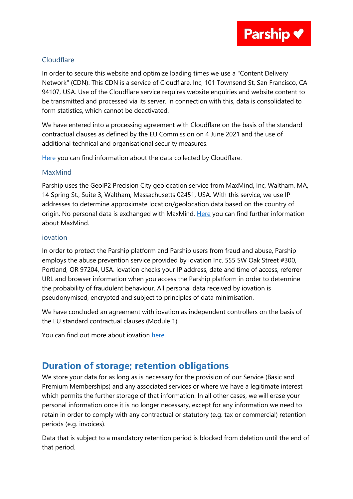

#### Cloudflare

In order to secure this website and optimize loading times we use a "Content Delivery Network" (CDN). This CDN is a service of Cloudflare, Inc, 101 Townsend St, San Francisco, CA 94107, USA. Use of the Cloudflare service requires website enquiries and website content to be transmitted and processed via its server. In connection with this, data is consolidated to form statistics, which cannot be deactivated.

We have entered into a processing agreement with Cloudflare on the basis of the standard contractual clauses as defined by the EU Commission on 4 June 2021 and the use of additional technical and organisational security measures.

[Here](https://www.cloudflare.com/en-gb/privacypolicy/) you can find information about the data collected by Cloudflare.

#### MaxMind

Parship uses the GeoIP2 Precision City geolocation service from MaxMind, Inc, Waltham, MA, 14 Spring St., Suite 3, Waltham, Massachusetts 02451, USA. With this service, we use IP addresses to determine approximate location/geolocation data based on the country of origin. No personal data is exchanged with MaxMind. [Here](https://www.maxmind.com/en/privacy-policy) you can find further information about MaxMind.

#### iovation

In order to protect the Parship platform and Parship users from fraud and abuse, Parship employs the abuse prevention service provided by iovation Inc. 555 SW Oak Street #300, Portland, OR 97204, USA. iovation checks your IP address, date and time of access, referrer URL and browser information when you access the Parship platform in order to determine the probability of fraudulent behaviour. All personal data received by iovation is pseudonymised, encrypted and subject to principles of data minimisation.

We have concluded an agreement with iovation as independent controllers on the basis of the EU standard contractual clauses (Module 1).

You can find out more about iovation [here.](https://www.transunion.com/privacy/iovation) 

## <span id="page-15-0"></span>**Duration of storage; retention obligations**

We store your data for as long as is necessary for the provision of our Service (Basic and Premium Memberships) and any associated services or where we have a legitimate interest which permits the further storage of that information. In all other cases, we will erase your personal information once it is no longer necessary, except for any information we need to retain in order to comply with any contractual or statutory (e.g. tax or commercial) retention periods (e.g. invoices).

Data that is subject to a mandatory retention period is blocked from deletion until the end of that period.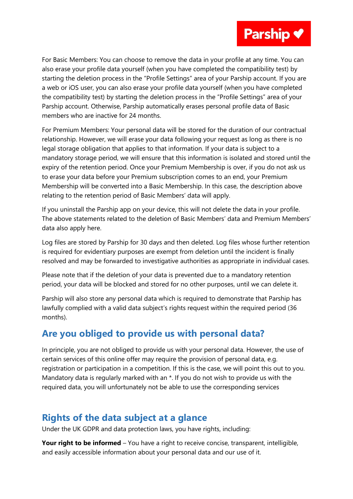

For Basic Members: You can choose to remove the data in your profile at any time. You can also erase your profile data yourself (when you have completed the compatibility test) by starting the deletion process in the "Profile Settings" area of your Parship account. If you are a web or iOS user, you can also erase your profile data yourself (when you have completed the compatibility test) by starting the deletion process in the "Profile Settings" area of your Parship account. Otherwise, Parship automatically erases personal profile data of Basic members who are inactive for 24 months.

For Premium Members: Your personal data will be stored for the duration of our contractual relationship. However, we will erase your data following your request as long as there is no legal storage obligation that applies to that information. If your data is subject to a mandatory storage period, we will ensure that this information is isolated and stored until the expiry of the retention period. Once your Premium Membership is over, if you do not ask us to erase your data before your Premium subscription comes to an end, your Premium Membership will be converted into a Basic Membership. In this case, the description above relating to the retention period of Basic Members' data will apply.

If you uninstall the Parship app on your device, this will not delete the data in your profile. The above statements related to the deletion of Basic Members' data and Premium Members' data also apply here.

Log files are stored by Parship for 30 days and then deleted. Log files whose further retention is required for evidentiary purposes are exempt from deletion until the incident is finally resolved and may be forwarded to investigative authorities as appropriate in individual cases.

Please note that if the deletion of your data is prevented due to a mandatory retention period, your data will be blocked and stored for no other purposes, until we can delete it.

Parship will also store any personal data which is required to demonstrate that Parship has lawfully complied with a valid data subject's rights request within the required period (36 months).

## **Are you obliged to provide us with personal data?**

In principle, you are not obliged to provide us with your personal data. However, the use of certain services of this online offer may require the provision of personal data, e.g. registration or participation in a competition. If this is the case, we will point this out to you. Mandatory data is regularly marked with an \*. If you do not wish to provide us with the required data, you will unfortunately not be able to use the corresponding services

## <span id="page-16-0"></span>**Rights of the data subject at a glance**

Under the UK GDPR and data protection laws, you have rights, including:

**Your right to be informed** – You have a right to receive concise, transparent, intelligible, and easily accessible information about your personal data and our use of it.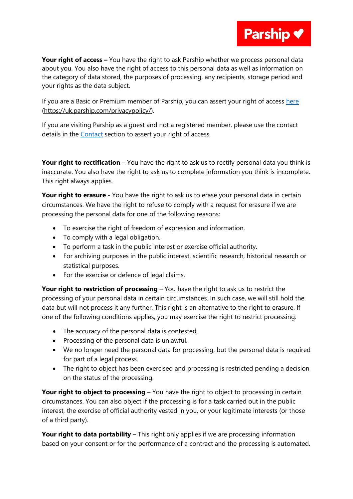

**Parship V** 

If you are a Basic or Premium member of Parship, you can assert your right of access [here](https://uk.parship.com/privacypolicy/) [\(https://uk.parship.com/privacypolicy/\)](https://uk.parship.com/privacypolicy/).

If you are visiting Parship as a guest and not a registered member, please use the contact details in the [Contact](#page-1-0) section to assert your right of access.

**Your right to rectification** – You have the right to ask us to rectify personal data you think is inaccurate. You also have the right to ask us to complete information you think is incomplete. This right always applies.

**Your right to erasure** - You have the right to ask us to erase your personal data in certain circumstances. We have the right to refuse to comply with a request for erasure if we are processing the personal data for one of the following reasons:

- To exercise the right of freedom of expression and information.
- To comply with a legal obligation.
- To perform a task in the public interest or exercise official authority.
- For archiving purposes in the public interest, scientific research, historical research or statistical purposes.
- For the exercise or defence of legal claims.

**Your right to restriction of processing** – You have the right to ask us to restrict the processing of your personal data in certain circumstances. In such case, we will still hold the data but will not process it any further. This right is an alternative to the right to erasure. If one of the following conditions applies, you may exercise the right to restrict processing:

- The accuracy of the personal data is contested.
- Processing of the personal data is unlawful.
- We no longer need the personal data for processing, but the personal data is required for part of a legal process.
- The right to object has been exercised and processing is restricted pending a decision on the status of the processing.

**Your right to object to processing** – You have the right to object to processing in certain circumstances. You can also object if the processing is for a task carried out in the public interest, the exercise of official authority vested in you, or your legitimate interests (or those of a third party).

**Your right to data portability** – This right only applies if we are processing information based on your consent or for the performance of a contract and the processing is automated.